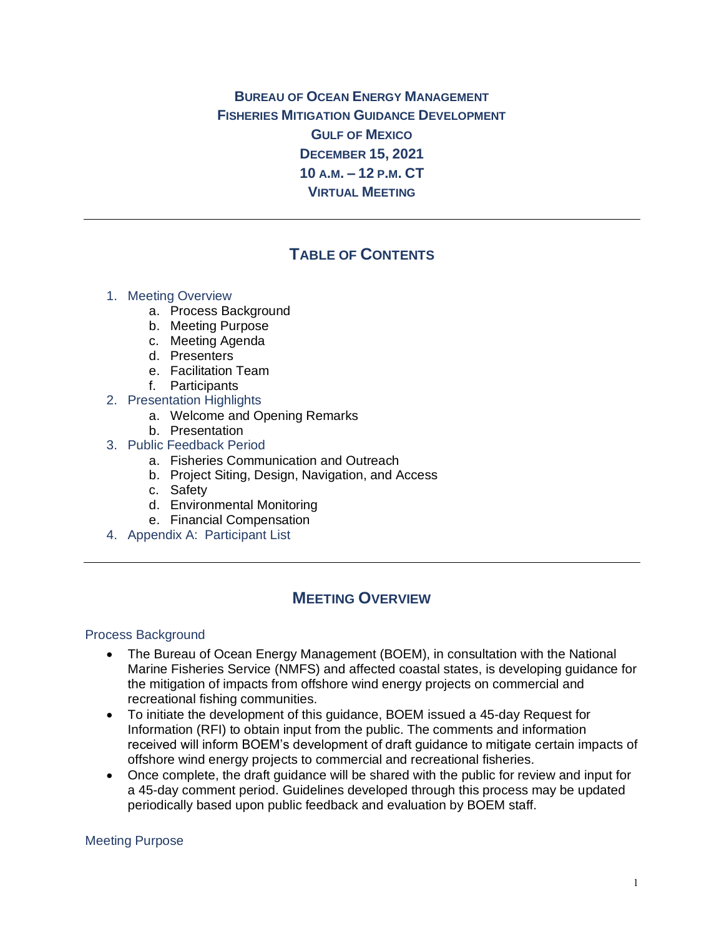**BUREAU OF OCEAN ENERGY MANAGEMENT FISHERIES MITIGATION GUIDANCE DEVELOPMENT GULF OF MEXICO DECEMBER 15, 2021 10 A.M. – 12 P.M. CT VIRTUAL MEETING**

# **TABLE OF CONTENTS**

## 1. Meeting Overview

- a. Process Background
- b. Meeting Purpose
- c. Meeting Agenda
- d. Presenters
- e. Facilitation Team
- f. Participants
- 2. Presentation Highlights
	- a. Welcome and Opening Remarks
	- b. Presentation
- 3. Public Feedback Period
	- a. Fisheries Communication and Outreach
	- b. Project Siting, Design, Navigation, and Access
	- c. Safety
	- d. Environmental Monitoring
	- e. Financial Compensation
- 4. Appendix A: Participant List

# **MEETING OVERVIEW**

#### Process Background

- The Bureau of Ocean Energy Management (BOEM), in consultation with the National Marine Fisheries Service (NMFS) and affected coastal states, is developing guidance for the mitigation of impacts from offshore wind energy projects on commercial and recreational fishing communities.
- To initiate the development of this guidance, BOEM issued a 45-day Request for Information (RFI) to obtain input from the public. The comments and information received will inform BOEM's development of draft guidance to mitigate certain impacts of offshore wind energy projects to commercial and recreational fisheries.
- Once complete, the draft guidance will be shared with the public for review and input for a 45-day comment period. Guidelines developed through this process may be updated periodically based upon public feedback and evaluation by BOEM staff.

#### Meeting Purpose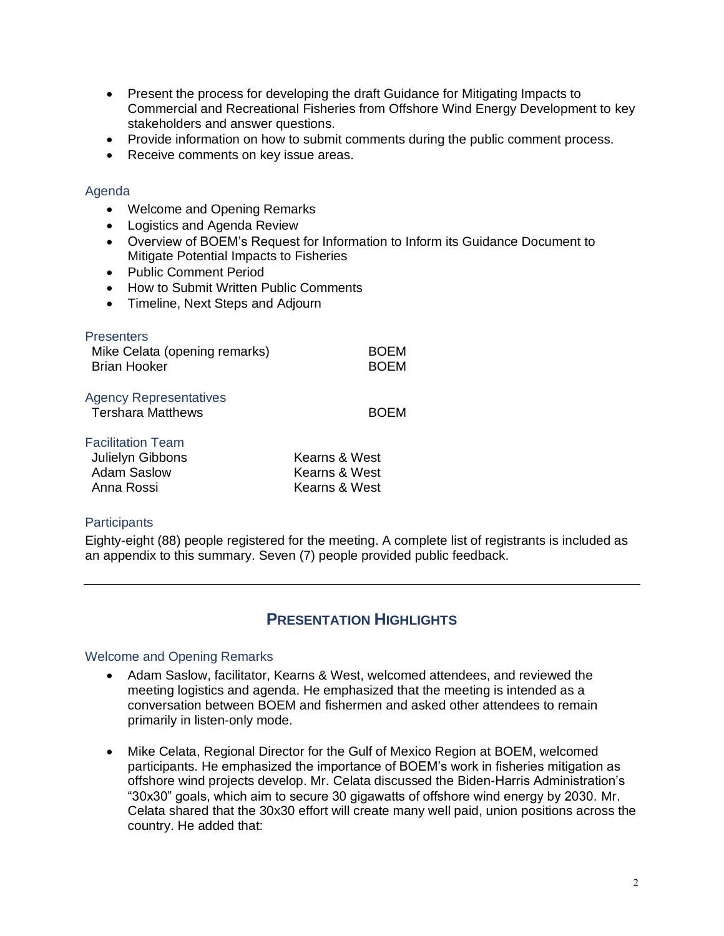- Present the process for developing the draft Guidance for Mitigating Impacts to Commercial and Recreational Fisheries from Offshore Wind Energy Development to key stakeholders and answer questions.
- Provide information on how to submit comments during the public comment process.
- Receive comments on key issue areas.

#### Agenda

- Welcome and Opening Remarks
- Logistics and Agenda Review
- Overview of BOEM's Request for Information to Inform its Guidance Document to Mitigate Potential Impacts to Fisheries
- Public Comment Period
- How to Submit Written Public Comments
- Timeline, Next Steps and Adjourn

| <b>Presenters</b><br>Mike Celata (opening remarks)<br>Brian Hooker               | BOEM<br><b>BOEM</b>                             |
|----------------------------------------------------------------------------------|-------------------------------------------------|
| <b>Agency Representatives</b><br><b>Tershara Matthews</b>                        | <b>BOEM</b>                                     |
| <b>Facilitation Team</b><br>Julielyn Gibbons<br><b>Adam Saslow</b><br>Anna Rossi | Kearns & West<br>Kearns & West<br>Kearns & West |

#### **Participants**

Eighty-eight (88) people registered for the meeting. A complete list of registrants is included as an appendix to this summary. Seven (7) people provided public feedback.

# **PRESENTATION HIGHLIGHTS**

#### Welcome and Opening Remarks

- Adam Saslow, facilitator, Kearns & West, welcomed attendees, and reviewed the meeting logistics and agenda. He emphasized that the meeting is intended as a conversation between BOEM and fishermen and asked other attendees to remain primarily in listen-only mode.
- Mike Celata, Regional Director for the Gulf of Mexico Region at BOEM, welcomed participants. He emphasized the importance of BOEM's work in fisheries mitigation as offshore wind projects develop. Mr. Celata discussed the Biden-Harris Administration's "30x30" goals, which aim to secure 30 gigawatts of offshore wind energy by 2030. Mr. Celata shared that the 30x30 effort will create many well paid, union positions across the country. He added that: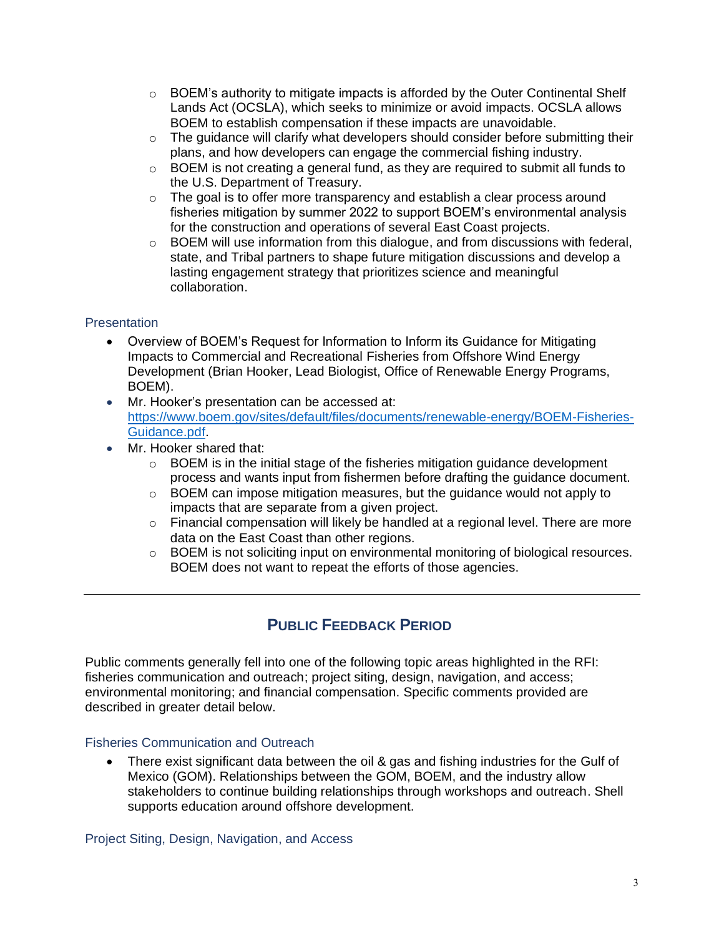- $\circ$  BOEM's authority to mitigate impacts is afforded by the Outer Continental Shelf Lands Act (OCSLA), which seeks to minimize or avoid impacts. OCSLA allows BOEM to establish compensation if these impacts are unavoidable.
- $\circ$  The guidance will clarify what developers should consider before submitting their plans, and how developers can engage the commercial fishing industry.
- $\circ$  BOEM is not creating a general fund, as they are required to submit all funds to the U.S. Department of Treasury.
- $\circ$  The goal is to offer more transparency and establish a clear process around fisheries mitigation by summer 2022 to support BOEM's environmental analysis for the construction and operations of several East Coast projects.
- $\circ$  BOEM will use information from this dialogue, and from discussions with federal, state, and Tribal partners to shape future mitigation discussions and develop a lasting engagement strategy that prioritizes science and meaningful collaboration.

## **Presentation**

- Overview of BOEM's Request for Information to Inform its Guidance for Mitigating Impacts to Commercial and Recreational Fisheries from Offshore Wind Energy Development (Brian Hooker, Lead Biologist, Office of Renewable Energy Programs, BOEM).
- Mr. Hooker's presentation can be accessed at: [https://www.boem.gov/sites/default/files/documents/renewable-energy/BOEM-Fisheries-](https://www.boem.gov/sites/default/files/documents/renewable-energy/BOEM-Fisheries-Guidance.pdf)[Guidance.pdf.](https://www.boem.gov/sites/default/files/documents/renewable-energy/BOEM-Fisheries-Guidance.pdf)
- Mr. Hooker shared that:
	- $\circ$  BOEM is in the initial stage of the fisheries mitigation guidance development process and wants input from fishermen before drafting the guidance document.
	- $\circ$  BOEM can impose mitigation measures, but the guidance would not apply to impacts that are separate from a given project.
	- $\circ$  Financial compensation will likely be handled at a regional level. There are more data on the East Coast than other regions.
	- o BOEM is not soliciting input on environmental monitoring of biological resources. BOEM does not want to repeat the efforts of those agencies.

# **PUBLIC FEEDBACK PERIOD**

Public comments generally fell into one of the following topic areas highlighted in the RFI: fisheries communication and outreach; project siting, design, navigation, and access; environmental monitoring; and financial compensation. Specific comments provided are described in greater detail below.

## Fisheries Communication and Outreach

• There exist significant data between the oil & gas and fishing industries for the Gulf of Mexico (GOM). Relationships between the GOM, BOEM, and the industry allow stakeholders to continue building relationships through workshops and outreach. Shell supports education around offshore development.

Project Siting, Design, Navigation, and Access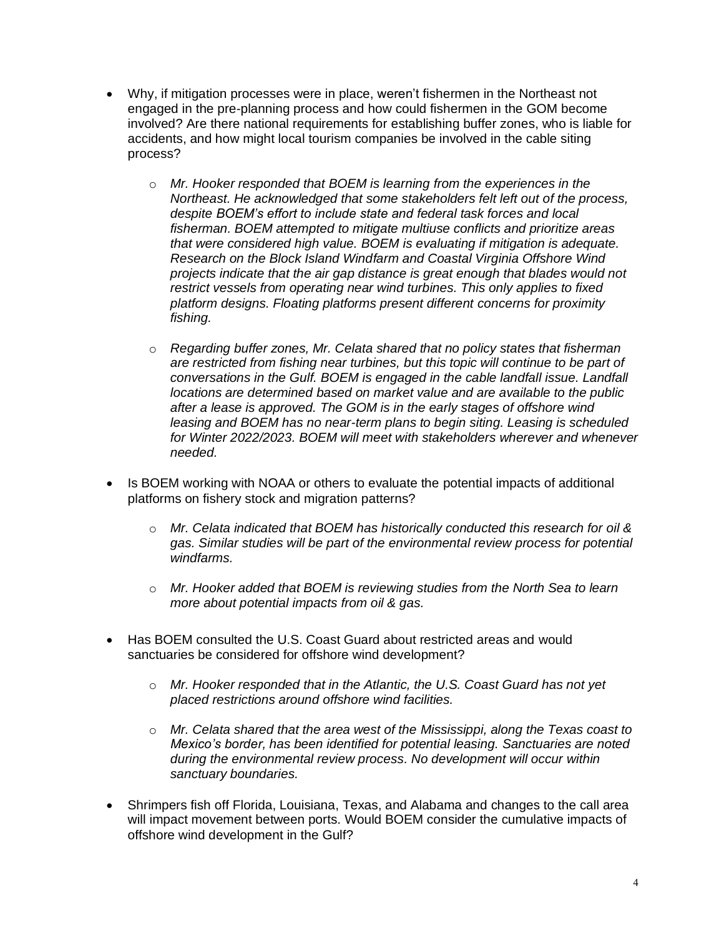- Why, if mitigation processes were in place, weren't fishermen in the Northeast not engaged in the pre-planning process and how could fishermen in the GOM become involved? Are there national requirements for establishing buffer zones, who is liable for accidents, and how might local tourism companies be involved in the cable siting process?
	- o *Mr. Hooker responded that BOEM is learning from the experiences in the Northeast. He acknowledged that some stakeholders felt left out of the process, despite BOEM's effort to include state and federal task forces and local fisherman. BOEM attempted to mitigate multiuse conflicts and prioritize areas that were considered high value. BOEM is evaluating if mitigation is adequate. Research on the Block Island Windfarm and Coastal Virginia Offshore Wind projects indicate that the air gap distance is great enough that blades would not restrict vessels from operating near wind turbines. This only applies to fixed platform designs. Floating platforms present different concerns for proximity fishing.*
	- o *Regarding buffer zones, Mr. Celata shared that no policy states that fisherman are restricted from fishing near turbines, but this topic will continue to be part of conversations in the Gulf. BOEM is engaged in the cable landfall issue. Landfall locations are determined based on market value and are available to the public after a lease is approved. The GOM is in the early stages of offshore wind leasing and BOEM has no near-term plans to begin siting. Leasing is scheduled for Winter 2022/2023. BOEM will meet with stakeholders wherever and whenever needed.*
- Is BOEM working with NOAA or others to evaluate the potential impacts of additional platforms on fishery stock and migration patterns?
	- o *Mr. Celata indicated that BOEM has historically conducted this research for oil & gas. Similar studies will be part of the environmental review process for potential windfarms.*
	- o *Mr. Hooker added that BOEM is reviewing studies from the North Sea to learn more about potential impacts from oil & gas.*
- Has BOEM consulted the U.S. Coast Guard about restricted areas and would sanctuaries be considered for offshore wind development?
	- o *Mr. Hooker responded that in the Atlantic, the U.S. Coast Guard has not yet placed restrictions around offshore wind facilities.*
	- o *Mr. Celata shared that the area west of the Mississippi, along the Texas coast to Mexico's border, has been identified for potential leasing. Sanctuaries are noted during the environmental review process. No development will occur within sanctuary boundaries.*
- Shrimpers fish off Florida, Louisiana, Texas, and Alabama and changes to the call area will impact movement between ports. Would BOEM consider the cumulative impacts of offshore wind development in the Gulf?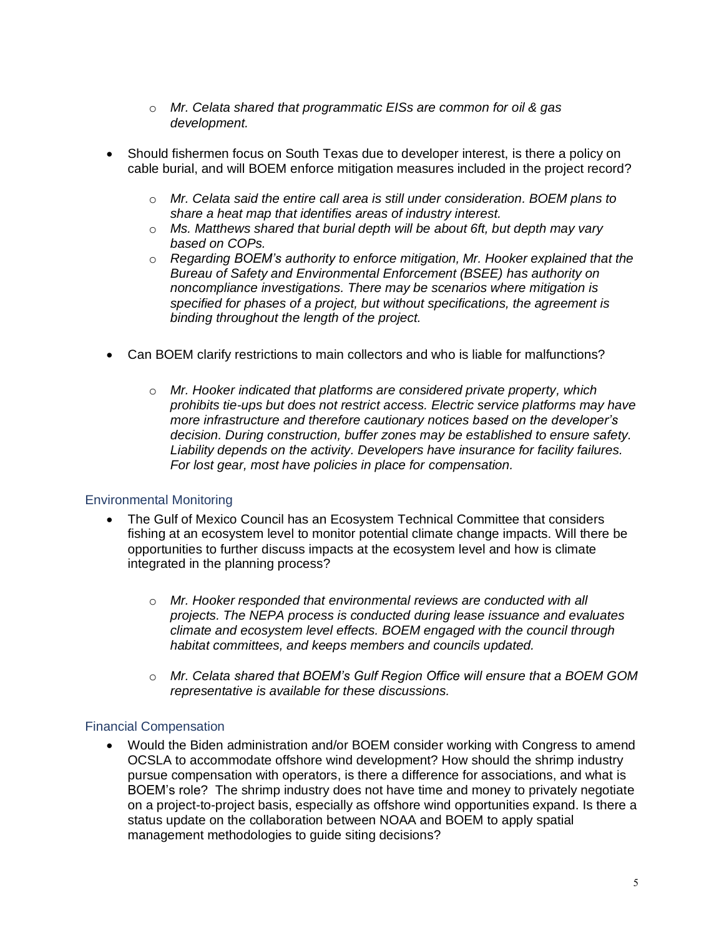- o *Mr. Celata shared that programmatic EISs are common for oil & gas development.*
- Should fishermen focus on South Texas due to developer interest, is there a policy on cable burial, and will BOEM enforce mitigation measures included in the project record?
	- o *Mr. Celata said the entire call area is still under consideration. BOEM plans to share a heat map that identifies areas of industry interest.*
	- o *Ms. Matthews shared that burial depth will be about 6ft, but depth may vary based on COPs.*
	- o *Regarding BOEM's authority to enforce mitigation, Mr. Hooker explained that the Bureau of Safety and Environmental Enforcement (BSEE) has authority on noncompliance investigations. There may be scenarios where mitigation is specified for phases of a project, but without specifications, the agreement is binding throughout the length of the project.*
- Can BOEM clarify restrictions to main collectors and who is liable for malfunctions?
	- o *Mr. Hooker indicated that platforms are considered private property, which prohibits tie-ups but does not restrict access. Electric service platforms may have more infrastructure and therefore cautionary notices based on the developer's decision. During construction, buffer zones may be established to ensure safety. Liability depends on the activity. Developers have insurance for facility failures. For lost gear, most have policies in place for compensation.*

## Environmental Monitoring

- The Gulf of Mexico Council has an Ecosystem Technical Committee that considers fishing at an ecosystem level to monitor potential climate change impacts. Will there be opportunities to further discuss impacts at the ecosystem level and how is climate integrated in the planning process?
	- o *Mr. Hooker responded that environmental reviews are conducted with all projects. The NEPA process is conducted during lease issuance and evaluates climate and ecosystem level effects. BOEM engaged with the council through habitat committees, and keeps members and councils updated.*
	- o *Mr. Celata shared that BOEM's Gulf Region Office will ensure that a BOEM GOM representative is available for these discussions.*

#### Financial Compensation

• Would the Biden administration and/or BOEM consider working with Congress to amend OCSLA to accommodate offshore wind development? How should the shrimp industry pursue compensation with operators, is there a difference for associations, and what is BOEM's role? The shrimp industry does not have time and money to privately negotiate on a project-to-project basis, especially as offshore wind opportunities expand. Is there a status update on the collaboration between NOAA and BOEM to apply spatial management methodologies to guide siting decisions?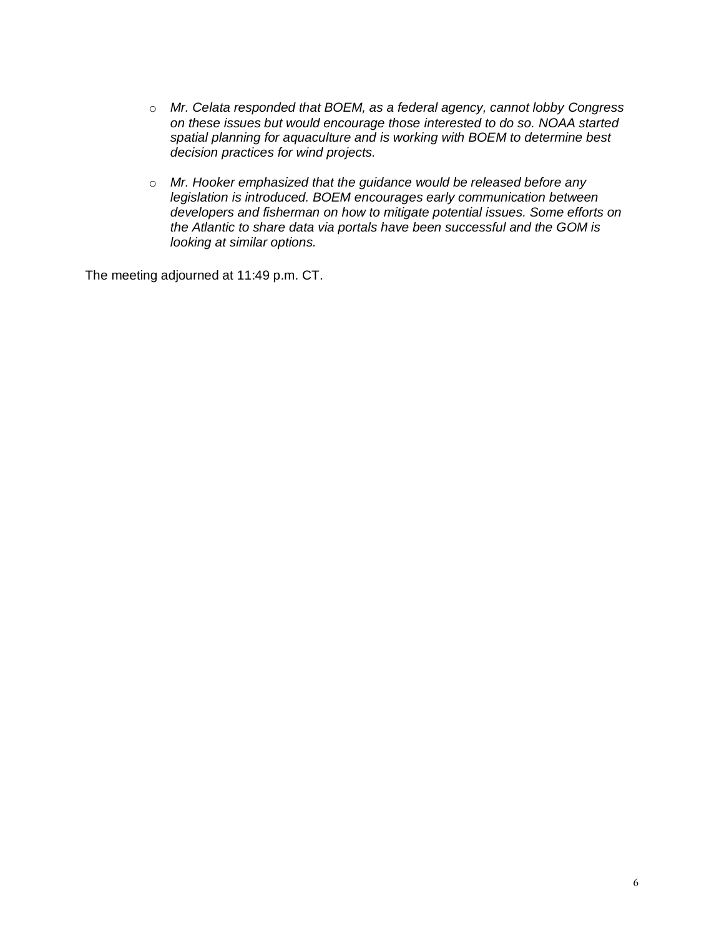- o *Mr. Celata responded that BOEM, as a federal agency, cannot lobby Congress on these issues but would encourage those interested to do so. NOAA started spatial planning for aquaculture and is working with BOEM to determine best decision practices for wind projects.*
- o *Mr. Hooker emphasized that the guidance would be released before any legislation is introduced. BOEM encourages early communication between developers and fisherman on how to mitigate potential issues. Some efforts on the Atlantic to share data via portals have been successful and the GOM is looking at similar options.*

The meeting adjourned at 11:49 p.m. CT.